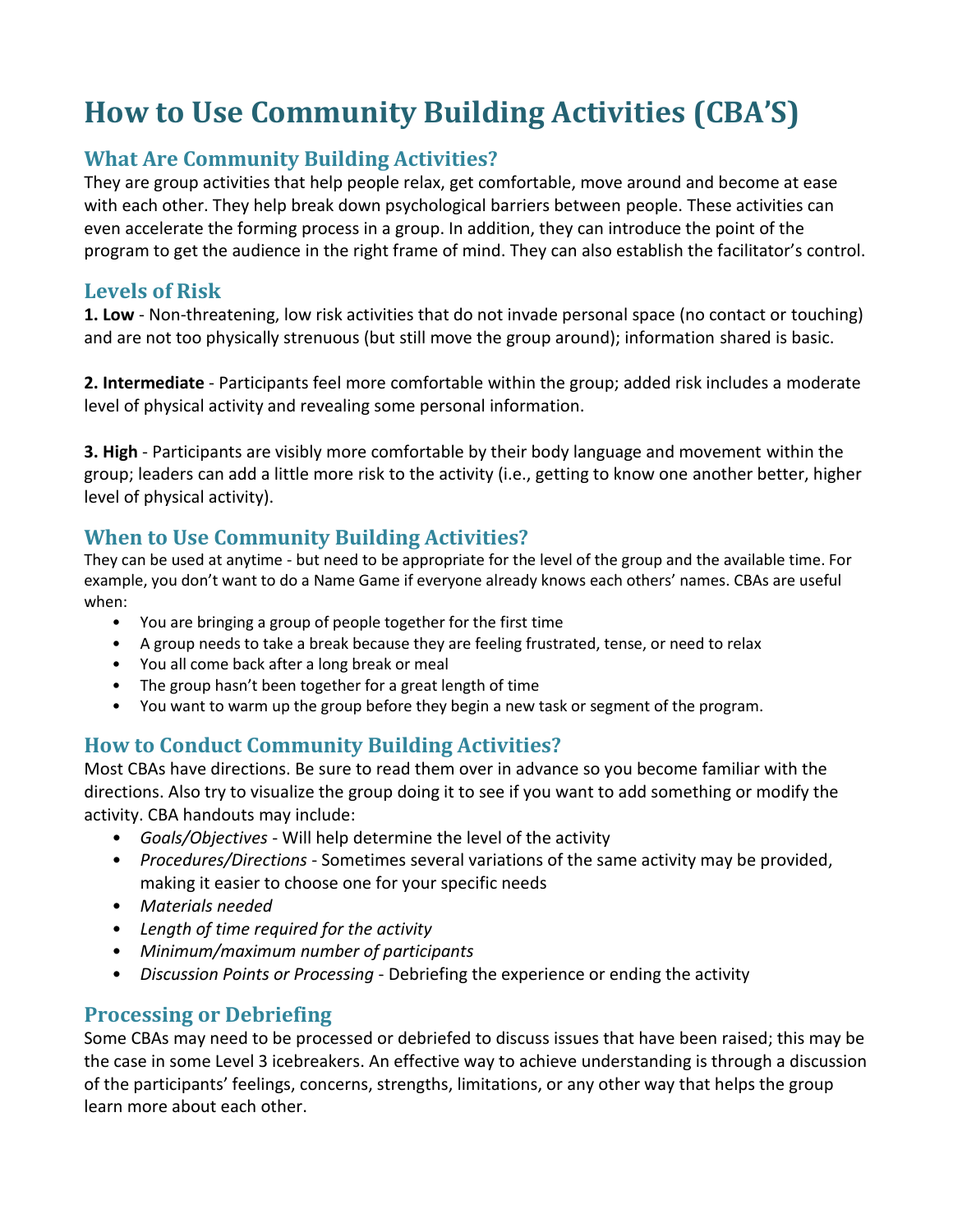# **How to Use Community Building Activities (CBA'S)**

# **What Are Community Building Activities?**

They are group activities that help people relax, get comfortable, move around and become at ease with each other. They help break down psychological barriers between people. These activities can even accelerate the forming process in a group. In addition, they can introduce the point of the program to get the audience in the right frame of mind. They can also establish the facilitator's control.

## **Levels of Risk**

**1. Low** - Non-threatening, low risk activities that do not invade personal space (no contact or touching) and are not too physically strenuous (but still move the group around); information shared is basic.

**2. Intermediate** - Participants feel more comfortable within the group; added risk includes a moderate level of physical activity and revealing some personal information.

**3. High** - Participants are visibly more comfortable by their body language and movement within the group; leaders can add a little more risk to the activity (i.e., getting to know one another better, higher level of physical activity).

# **When to Use Community Building Activities?**

They can be used at anytime - but need to be appropriate for the level of the group and the available time. For example, you don't want to do a Name Game if everyone already knows each others' names. CBAs are useful when:

- You are bringing a group of people together for the first time
- A group needs to take a break because they are feeling frustrated, tense, or need to relax
- You all come back after a long break or meal
- The group hasn't been together for a great length of time
- You want to warm up the group before they begin a new task or segment of the program.

# **How to Conduct Community Building Activities?**

Most CBAs have directions. Be sure to read them over in advance so you become familiar with the directions. Also try to visualize the group doing it to see if you want to add something or modify the activity. CBA handouts may include:

- *Goals/Objectives* Will help determine the level of the activity
- *Procedures/Directions* Sometimes several variations of the same activity may be provided, making it easier to choose one for your specific needs
- *Materials needed*
- *Length of time required for the activity*
- *Minimum/maximum number of participants*
- *Discussion Points or Processing* Debriefing the experience or ending the activity

# **Processing or Debriefing**

Some CBAs may need to be processed or debriefed to discuss issues that have been raised; this may be the case in some Level 3 icebreakers. An effective way to achieve understanding is through a discussion of the participants' feelings, concerns, strengths, limitations, or any other way that helps the group learn more about each other.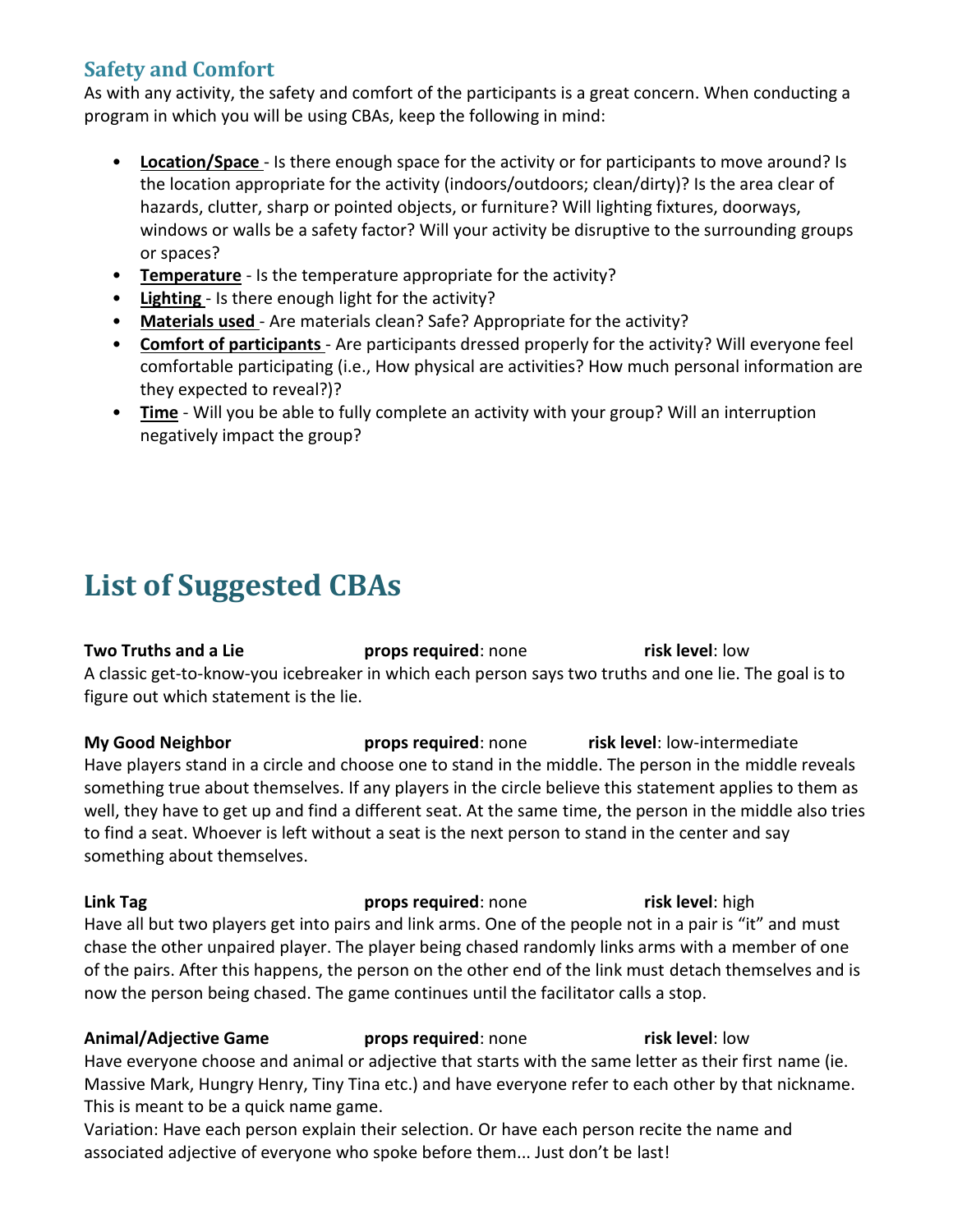# **Safety and Comfort**

As with any activity, the safety and comfort of the participants is a great concern. When conducting a program in which you will be using CBAs, keep the following in mind:

- **Location/Space**  Is there enough space for the activity or for participants to move around? Is the location appropriate for the activity (indoors/outdoors; clean/dirty)? Is the area clear of hazards, clutter, sharp or pointed objects, or furniture? Will lighting fixtures, doorways, windows or walls be a safety factor? Will your activity be disruptive to the surrounding groups or spaces?
- **Temperature** Is the temperature appropriate for the activity?
- **Lighting**  Is there enough light for the activity?
- **Materials used**  Are materials clean? Safe? Appropriate for the activity?
- **Comfort of participants**  Are participants dressed properly for the activity? Will everyone feel comfortable participating (i.e., How physical are activities? How much personal information are they expected to reveal?)?
- **Time** Will you be able to fully complete an activity with your group? Will an interruption negatively impact the group?

# **List of Suggested CBAs**

**Two Truths and a Lie props required**: none **risk level**: low A classic get-to-know-you icebreaker in which each person says two truths and one lie. The goal is to figure out which statement is the lie.

**My Good Neighbor props required**: none **risk level**: low-intermediate Have players stand in a circle and choose one to stand in the middle. The person in the middle reveals something true about themselves. If any players in the circle believe this statement applies to them as well, they have to get up and find a different seat. At the same time, the person in the middle also tries to find a seat. Whoever is left without a seat is the next person to stand in the center and say something about themselves.

**Link Tag props required**: none **risk level**: high Have all but two players get into pairs and link arms. One of the people not in a pair is "it" and must chase the other unpaired player. The player being chased randomly links arms with a member of one of the pairs. After this happens, the person on the other end of the link must detach themselves and is now the person being chased. The game continues until the facilitator calls a stop.

### **Animal/Adjective Game props required**: none **risk level**: low Have everyone choose and animal or adjective that starts with the same letter as their first name (ie. Massive Mark, Hungry Henry, Tiny Tina etc.) and have everyone refer to each other by that nickname. This is meant to be a quick name game.

Variation: Have each person explain their selection. Or have each person recite the name and associated adjective of everyone who spoke before them... Just don't be last!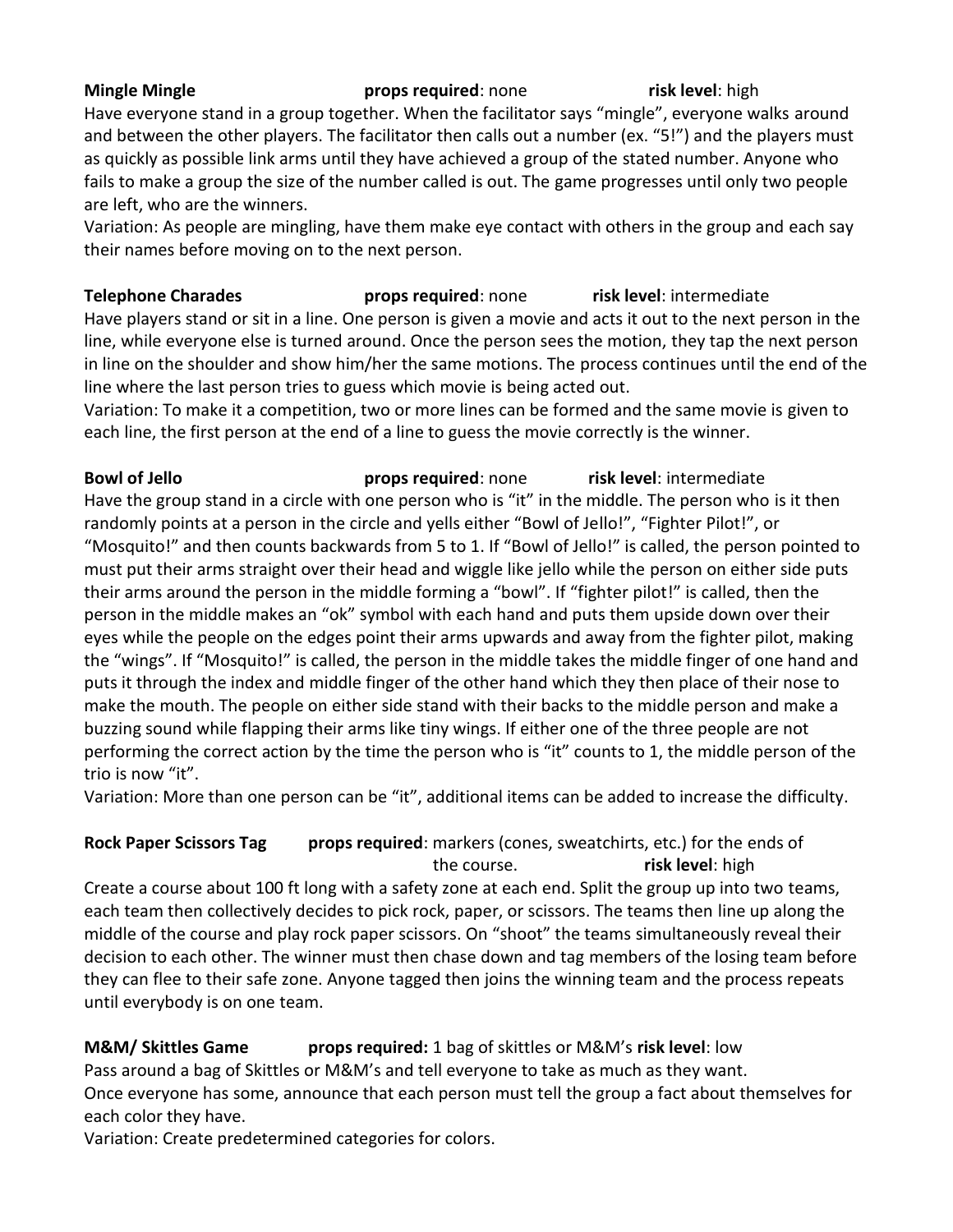### **Mingle Mingle props required**: none **risk level**: high Have everyone stand in a group together. When the facilitator says "mingle", everyone walks around and between the other players. The facilitator then calls out a number (ex. "5!") and the players must as quickly as possible link arms until they have achieved a group of the stated number. Anyone who fails to make a group the size of the number called is out. The game progresses until only two people are left, who are the winners.

Variation: As people are mingling, have them make eye contact with others in the group and each say their names before moving on to the next person.

**Telephone Charades props required**: none **risk level**: intermediate Have players stand or sit in a line. One person is given a movie and acts it out to the next person in the line, while everyone else is turned around. Once the person sees the motion, they tap the next person in line on the shoulder and show him/her the same motions. The process continues until the end of the line where the last person tries to guess which movie is being acted out.

Variation: To make it a competition, two or more lines can be formed and the same movie is given to each line, the first person at the end of a line to guess the movie correctly is the winner.

**Bowl of Jello props required**: none **risk level**: intermediate Have the group stand in a circle with one person who is "it" in the middle. The person who is it then randomly points at a person in the circle and yells either "Bowl of Jello!", "Fighter Pilot!", or "Mosquito!" and then counts backwards from 5 to 1. If "Bowl of Jello!" is called, the person pointed to must put their arms straight over their head and wiggle like jello while the person on either side puts their arms around the person in the middle forming a "bowl". If "fighter pilot!" is called, then the person in the middle makes an "ok" symbol with each hand and puts them upside down over their eyes while the people on the edges point their arms upwards and away from the fighter pilot, making the "wings". If "Mosquito!" is called, the person in the middle takes the middle finger of one hand and puts it through the index and middle finger of the other hand which they then place of their nose to make the mouth. The people on either side stand with their backs to the middle person and make a buzzing sound while flapping their arms like tiny wings. If either one of the three people are not performing the correct action by the time the person who is "it" counts to 1, the middle person of the trio is now "it".

Variation: More than one person can be "it", additional items can be added to increase the difficulty.

#### **Rock Paper Scissors Tag props required**: markers (cones, sweatchirts, etc.) for the ends of the course. **risk level**: high

Create a course about 100 ft long with a safety zone at each end. Split the group up into two teams, each team then collectively decides to pick rock, paper, or scissors. The teams then line up along the middle of the course and play rock paper scissors. On "shoot" the teams simultaneously reveal their decision to each other. The winner must then chase down and tag members of the losing team before they can flee to their safe zone. Anyone tagged then joins the winning team and the process repeats until everybody is on one team.

## **M&M/ Skittles Game props required:** 1 bag of skittles or M&M's **risk level**: low

Pass around a bag of Skittles or M&M's and tell everyone to take as much as they want. Once everyone has some, announce that each person must tell the group a fact about themselves for each color they have.

Variation: Create predetermined categories for colors.